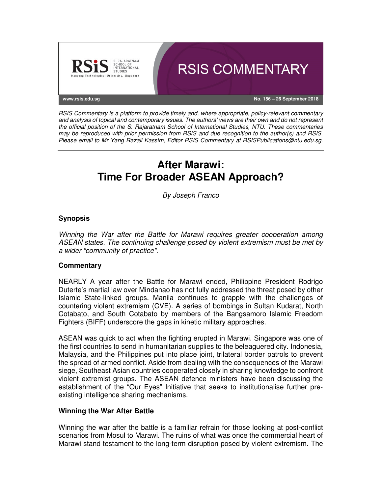

RSIS Commentary is a platform to provide timely and, where appropriate, policy-relevant commentary and analysis of topical and contemporary issues. The authors' views are their own and do not represent the official position of the S. Rajaratnam School of International Studies, NTU. These commentaries may be reproduced with prior permission from RSIS and due recognition to the author(s) and RSIS. Please email to Mr Yang Razali Kassim, Editor RSIS Commentary at RSISPublications@ntu.edu.sg.

# **After Marawi: Time For Broader ASEAN Approach?**

By Joseph Franco

## **Synopsis**

Winning the War after the Battle for Marawi requires greater cooperation among ASEAN states. The continuing challenge posed by violent extremism must be met by a wider "community of practice".

### **Commentary**

NEARLY A year after the Battle for Marawi ended, Philippine President Rodrigo Duterte's martial law over Mindanao has not fully addressed the threat posed by other Islamic State-linked groups. Manila continues to grapple with the challenges of countering violent extremism (CVE). A series of bombings in Sultan Kudarat, North Cotabato, and South Cotabato by members of the Bangsamoro Islamic Freedom Fighters (BIFF) underscore the gaps in kinetic military approaches.

ASEAN was quick to act when the fighting erupted in Marawi. Singapore was one of the first countries to send in humanitarian supplies to the beleaguered city. Indonesia, Malaysia, and the Philippines put into place joint, trilateral border patrols to prevent the spread of armed conflict. Aside from dealing with the consequences of the Marawi siege, Southeast Asian countries cooperated closely in sharing knowledge to confront violent extremist groups. The ASEAN defence ministers have been discussing the establishment of the "Our Eyes" Initiative that seeks to institutionalise further preexisting intelligence sharing mechanisms.

### **Winning the War After Battle**

Winning the war after the battle is a familiar refrain for those looking at post-conflict scenarios from Mosul to Marawi. The ruins of what was once the commercial heart of Marawi stand testament to the long-term disruption posed by violent extremism. The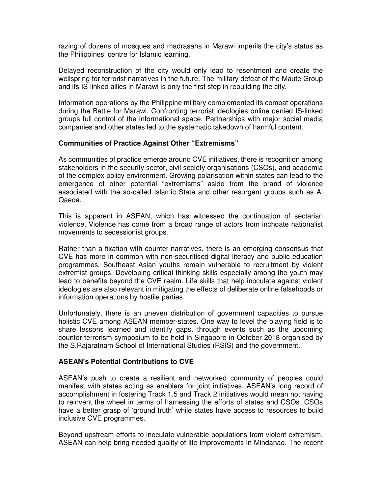razing of dozens of mosques and madrasahs in Marawi imperils the city's status as the Philippines' centre for Islamic learning.

Delayed reconstruction of the city would only lead to resentment and create the wellspring for terrorist narratives in the future. The military defeat of the Maute Group and its IS-linked allies in Marawi is only the first step in rebuilding the city.

Information operations by the Philippine military complemented its combat operations during the Battle for Marawi. Confronting terrorist ideologies online denied IS-linked groups full control of the informational space. Partnerships with major social media companies and other states led to the systematic takedown of harmful content.

#### **Communities of Practice Against Other "Extremisms"**

As communities of practice emerge around CVE initiatives, there is recognition among stakeholders in the security sector, civil society organisations (CSOs), and academia of the complex policy environment. Growing polarisation within states can lead to the emergence of other potential "extremisms" aside from the brand of violence associated with the so-called Islamic State and other resurgent groups such as Al Qaeda.

This is apparent in ASEAN, which has witnessed the continuation of sectarian violence. Violence has come from a broad range of actors from inchoate nationalist movements to secessionist groups.

Rather than a fixation with counter-narratives, there is an emerging consensus that CVE has more in common with non-securitised digital literacy and public education programmes. Southeast Asian youths remain vulnerable to recruitment by violent extremist groups. Developing critical thinking skills especially among the youth may lead to benefits beyond the CVE realm. Life skills that help inoculate against violent ideologies are also relevant in mitigating the effects of deliberate online falsehoods or information operations by hostile parties.

Unfortunately, there is an uneven distribution of government capacities to pursue holistic CVE among ASEAN member-states. One way to level the playing field is to share lessons learned and identify gaps, through events such as the upcoming counter-terrorism symposium to be held in Singapore in October 2018 organised by the S.Rajaratnam School of International Studies (RSIS) and the government.

### **ASEAN's Potential Contributions to CVE**

ASEAN's push to create a resilient and networked community of peoples could manifest with states acting as enablers for joint initiatives. ASEAN's long record of accomplishment in fostering Track 1.5 and Track 2 initiatives would mean not having to reinvent the wheel in terms of harnessing the efforts of states and CSOs. CSOs have a better grasp of 'ground truth' while states have access to resources to build inclusive CVE programmes.

Beyond upstream efforts to inoculate vulnerable populations from violent extremism, ASEAN can help bring needed quality-of-life improvements in Mindanao. The recent